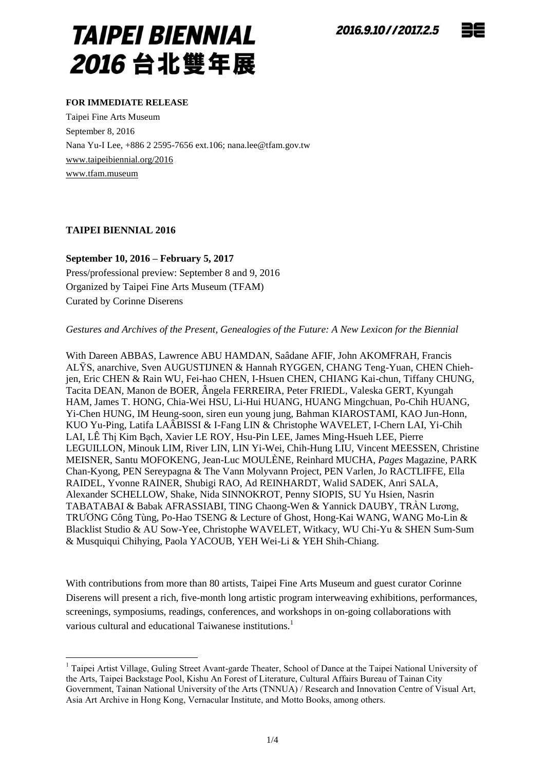

#### **FOR IMMEDIATE RELEASE**

Taipei Fine Arts Museum September 8, 2016 Nana Yu-I Lee, +886 2 2595-7656 ext.106; nana.lee@tfam.gov.tw www.taipeibiennial.org/2016 [www.tfam.museum](http://www.tfam.museum/)

### **TAIPEI BIENNIAL 2016**

<u>.</u>

**September 10, 2016 – February 5, 2017** Press/professional preview: September 8 and 9, 2016 Organized by Taipei Fine Arts Museum (TFAM) Curated by Corinne Diserens

*Gestures and Archives of the Present, Genealogies of the Future: A New Lexicon for the Biennial*

With Dareen ABBAS, Lawrence ABU HAMDAN, Saâdane AFIF, John AKOMFRAH, Francis ALŸS, anarchive, Sven AUGUSTIJNEN & Hannah RYGGEN, CHANG Teng-Yuan, CHEN Chiehjen, Eric CHEN & Rain WU, Fei-hao CHEN, I-Hsuen CHEN, CHIANG Kai-chun, Tiffany CHUNG, Tacita DEAN, Manon de BOER, Â ngela FERREIRA, Peter FRIEDL, Valeska GERT, Kyungah HAM, James T. HONG, Chia-Wei HSU, Li-Hui HUANG, HUANG Mingchuan, Po-Chih HUANG, Yi-Chen HUNG, IM Heung-soon, siren eun young jung, Bahman KIAROSTAMI, KAO Jun-Honn, KUO Yu-Ping, Latifa LAÂ BISSI & I-Fang LIN & Christophe WAVELET, I-Chern LAI, Yi-Chih LAI, LÊ Thị Kim Bạch, Xavier LE ROY, Hsu-Pin LEE, James Ming-Hsueh LEE, Pierre LEGUILLON, Minouk LIM, River LIN, LIN Yi-Wei, Chih-Hung LIU, Vincent MEESSEN, Christine MEISNER, Santu MOFOKENG, Jean-Luc MOULÈNE, Reinhard MUCHA, *Pages* Magazine, PARK Chan-Kyong, PEN Sereypagna & The Vann Molyvann Project, PEN Varlen, Jo RACTLIFFE, Ella RAIDEL, Yvonne RAINER, Shubigi RAO, Ad REINHARDT, Walid SADEK, Anri SALA, Alexander SCHELLOW, Shake, Nida SINNOKROT, Penny SIOPIS, SU Yu Hsien, Nasrin TABATABAI & Babak AFRASSIABI, TING Chaong-Wen & Yannick DAUBY, TRẦN Lương, TRƢƠNG Công Tùng, Po-Hao TSENG & Lecture of Ghost, Hong-Kai WANG, WANG Mo-Lin & Blacklist Studio & AU Sow-Yee, Christophe WAVELET, Witkacy, WU Chi-Yu & SHEN Sum-Sum & Musquiqui Chihying, Paola YACOUB, YEH Wei-Li & YEH Shih-Chiang.

With contributions from more than 80 artists, Taipei Fine Arts Museum and guest curator Corinne Diserens will present a rich, five-month long artistic program interweaving exhibitions, performances, screenings, symposiums, readings, conferences, and workshops in on-going collaborations with various cultural and educational Taiwanese institutions.<sup>1</sup>

<sup>&</sup>lt;sup>1</sup> Taipei Artist Village, Guling Street Avant-garde Theater, School of Dance at the Taipei National University of the Arts, Taipei Backstage Pool, Kishu An Forest of Literature, Cultural Affairs Bureau of Tainan City Government, Tainan National University of the Arts (TNNUA) / Research and Innovation Centre of Visual Art, Asia Art Archive in Hong Kong, Vernacular Institute, and Motto Books, among others.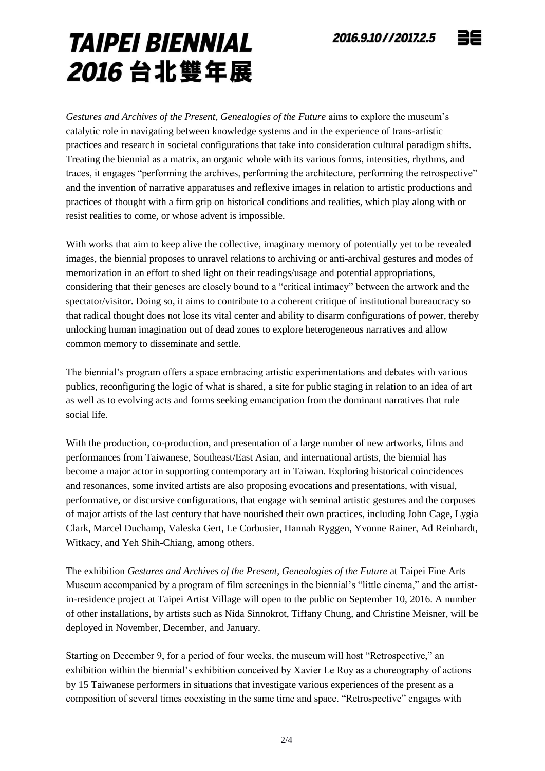## 2016.9.10//2017.2.5

# **TAIPEI BIENNIAL** 2016 台北雙年展

*Gestures and Archives of the Present, Genealogies of the Future* aims to explore the museum's catalytic role in navigating between knowledge systems and in the experience of trans-artistic practices and research in societal configurations that take into consideration cultural paradigm shifts. Treating the biennial as a matrix, an organic whole with its various forms, intensities, rhythms, and traces, it engages "performing the archives, performing the architecture, performing the retrospective" and the invention of narrative apparatuses and reflexive images in relation to artistic productions and practices of thought with a firm grip on historical conditions and realities, which play along with or resist realities to come, or whose advent is impossible.

With works that aim to keep alive the collective, imaginary memory of potentially yet to be revealed images, the biennial proposes to unravel relations to archiving or anti-archival gestures and modes of memorization in an effort to shed light on their readings/usage and potential appropriations, considering that their geneses are closely bound to a "critical intimacy" between the artwork and the spectator/visitor. Doing so, it aims to contribute to a coherent critique of institutional bureaucracy so that radical thought does not lose its vital center and ability to disarm configurations of power, thereby unlocking human imagination out of dead zones to explore heterogeneous narratives and allow common memory to disseminate and settle.

The biennial's program offers a space embracing artistic experimentations and debates with various publics, reconfiguring the logic of what is shared, a site for public staging in relation to an idea of art as well as to evolving acts and forms seeking emancipation from the dominant narratives that rule social life.

With the production, co-production, and presentation of a large number of new artworks, films and performances from Taiwanese, Southeast/East Asian, and international artists, the biennial has become a major actor in supporting contemporary art in Taiwan. Exploring historical coincidences and resonances, some invited artists are also proposing evocations and presentations, with visual, performative, or discursive configurations, that engage with seminal artistic gestures and the corpuses of major artists of the last century that have nourished their own practices, including John Cage, Lygia Clark, Marcel Duchamp, Valeska Gert, Le Corbusier, Hannah Ryggen, Yvonne Rainer, Ad Reinhardt, Witkacy, and Yeh Shih-Chiang, among others.

The exhibition *Gestures and Archives of the Present, Genealogies of the Future* at Taipei Fine Arts Museum accompanied by a program of film screenings in the biennial's "little cinema," and the artistin-residence project at Taipei Artist Village will open to the public on September 10, 2016. A number of other installations, by artists such as Nida Sinnokrot, Tiffany Chung, and Christine Meisner, will be deployed in November, December, and January.

Starting on December 9, for a period of four weeks, the museum will host "Retrospective," an exhibition within the biennial's exhibition conceived by Xavier Le Roy as a choreography of actions by 15 Taiwanese performers in situations that investigate various experiences of the present as a composition of several times coexisting in the same time and space. "Retrospective" engages with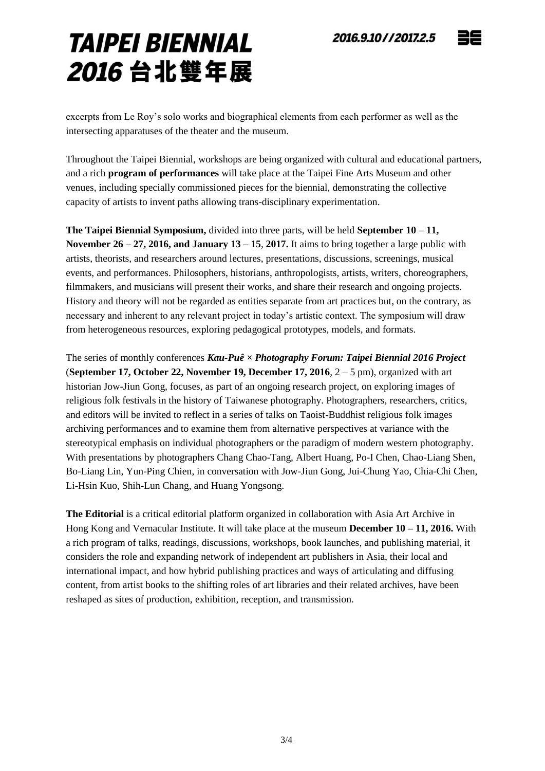# 2016.9.10//2017.2.5



# **TAIPEI BIENNIAL** 2016 台北雙年展

excerpts from Le Roy's solo works and biographical elements from each performer as well as the intersecting apparatuses of the theater and the museum.

Throughout the Taipei Biennial, workshops are being organized with cultural and educational partners, and a rich **program of performances** will take place at the Taipei Fine Arts Museum and other venues, including specially commissioned pieces for the biennial, demonstrating the collective capacity of artists to invent paths allowing trans-disciplinary experimentation.

**The Taipei Biennial Symposium,** divided into three parts, will be held **September 10 – 11, November 26 – 27, 2016, and January 13 – 15**, **2017.** It aims to bring together a large public with artists, theorists, and researchers around lectures, presentations, discussions, screenings, musical events, and performances. Philosophers, historians, anthropologists, artists, writers, choreographers, filmmakers, and musicians will present their works, and share their research and ongoing projects. History and theory will not be regarded as entities separate from art practices but, on the contrary, as necessary and inherent to any relevant project in today's artistic context. The symposium will draw from heterogeneous resources, exploring pedagogical prototypes, models, and formats.

The series of monthly conferences *Kau-Puê × Photography Forum: Taipei Biennial 2016 Project* (**September 17, October 22, November 19, December 17, 2016**, 2 – 5 pm), organized with art historian Jow-Jiun Gong, focuses, as part of an ongoing research project, on exploring images of religious folk festivals in the history of Taiwanese photography. Photographers, researchers, critics, and editors will be invited to reflect in a series of talks on Taoist-Buddhist religious folk images archiving performances and to examine them from alternative perspectives at variance with the stereotypical emphasis on individual photographers or the paradigm of modern western photography. With presentations by photographers Chang Chao-Tang, Albert Huang, Po-I Chen, Chao-Liang Shen, Bo-Liang Lin, Yun-Ping Chien, in conversation with Jow-Jiun Gong, Jui-Chung Yao, Chia-Chi Chen, Li-Hsin Kuo, Shih-Lun Chang, and Huang Yongsong.

**The Editorial** is a critical editorial platform organized in collaboration with Asia Art Archive in Hong Kong and Vernacular Institute. It will take place at the museum **December 10 – 11, 2016.** With a rich program of talks, readings, discussions, workshops, book launches, and publishing material, it considers the role and expanding network of independent art publishers in Asia, their local and international impact, and how hybrid publishing practices and ways of articulating and diffusing content, from artist books to the shifting roles of art libraries and their related archives, have been reshaped as sites of production, exhibition, reception, and transmission.